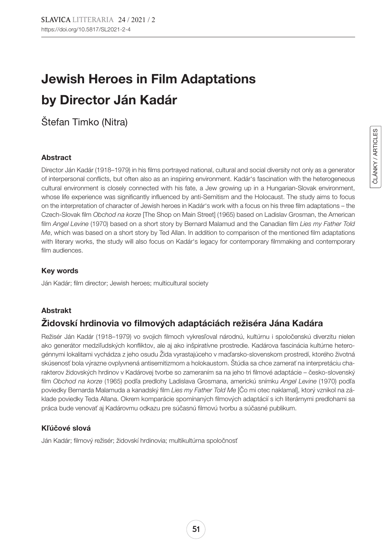# Jewish Heroes in Film Adaptations by Director Ján Kadár

Štefan Timko (Nitra)

### Abstract

Director Ján Kadár (1918–1979) in his films portrayed national, cultural and social diversity not only as a generator of interpersonal conflicts, but often also as an inspiring environment. Kadár's fascination with the heterogeneous cultural environment is closely connected with his fate, a Jew growing up in a Hungarian-Slovak environment, whose life experience was significantly influenced by anti-Semitism and the Holocaust. The study aims to focus on the interpretation of character of Jewish heroes in Kadár's work with a focus on his three film adaptations – the Czech-Slovak film *Obchod na korze* [The Shop on Main Street] (1965) based on Ladislav Grosman, the American film *Angel Levine* (1970) based on a short story by Bernard Malamud and the Canadian film *Lies my Father Told Me*, which was based on a short story by Ted Allan. In addition to comparison of the mentioned film adaptations with literary works, the study will also focus on Kadár's legacy for contemporary filmmaking and contemporary film audiences.

## Key words

Ján Kadár; film director; Jewish heroes; multicultural society

## Abstrakt

# Židovskí hrdinovia vo filmových adaptáciách režiséra Jána Kadára

Režisér Ján Kadár (1918–1979) vo svojich filmoch vykresľoval národnú, kultúrnu i spoločenskú diverzitu nielen ako generátor medziľudských konfliktov, ale aj ako inšpiratívne prostredie. Kadárova fascinácia kultúrne heterogénnymi lokalitami vychádza z jeho osudu Žida vyrastajúceho v maďarsko-slovenskom prostredí, ktorého životná skúsenosť bola výrazne ovplyvnená antisemitizmom a holokaustom. Štúdia sa chce zamerať na interpretáciu charakterov židovských hrdinov v Kadárovej tvorbe so zameraním sa na jeho tri filmové adaptácie – česko-slovenský film *Obchod na korze* (1965) podľa predlohy Ladislava Grosmana, americkú snímku *Angel Levine* (1970) podľa poviedky Bernarda Malamuda a kanadský film *Lies my Father Told Me* [Čo mi otec naklamal], ktorý vznikol na základe poviedky Teda Allana. Okrem komparácie spomínaných filmových adaptácií s ich literárnymi predlohami sa práca bude venovať aj Kadárovmu odkazu pre súčasnú filmovú tvorbu a súčasné publikum.

## Kľúčové slová

Ján Kadár; filmový režisér; židovskí hrdinovia; multikultúrna spoločnosť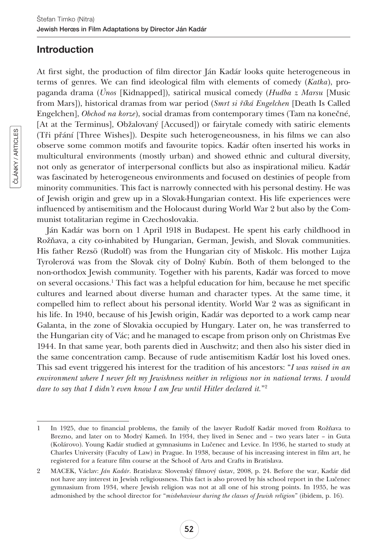# Introduction

At first sight, the production of film director Ján Kadár looks quite heterogeneous in terms of genres. We can find ideological film with elements of comedy (*Katka*), propaganda drama (*Únos* [Kidnapped]), satirical musical comedy (*Hudba z Marsu* [Music from Mars]), historical dramas from war period (*Smrt si říká Engelchen* [Death Is Called Engelchen], *Obchod na korze*), social dramas from contemporary times (Tam na konečné, [At at the Terminus], Obžalovaný [Accused]) or fairytale comedy with satiric elements (Tři přání [Three Wishes]). Despite such heterogeneousness, in his films we can also observe some common motifs and favourite topics. Kadár often inserted his works in multicultural environments (mostly urban) and showed ethnic and cultural diversity, not only as generator of interpersonal conflicts but also as inspirational milieu. Kadár was fascinated by heterogeneous environments and focused on destinies of people from minority communities. This fact is narrowly connected with his personal destiny. He was of Jewish origin and grew up in a Slovak-Hungarian context. His life experiences were influenced by antisemitism and the Holocaust during World War 2 but also by the Communist totalitarian regime in Czechoslovakia.

Ján Kadár was born on 1 April 1918 in Budapest. He spent his early childhood in Rožňava, a city co-inhabited by Hungarian, German, Jewish, and Slovak communities. His father Rezsö (Rudolf) was from the Hungarian city of Miskolc. His mother Lujza Tyrolerová was from the Slovak city of Dolný Kubín. Both of them belonged to the non-orthodox Jewish community. Together with his parents, Kadár was forced to move on several occasions.1 This fact was a helpful education for him, because he met specific cultures and learned about diverse human and character types. At the same time, it compelled him to reflect about his personal identity. World War 2 was as significant in his life. In 1940, because of his Jewish origin, Kadár was deported to a work camp near Galanta, in the zone of Slovakia occupied by Hungary. Later on, he was transferred to the Hungarian city of Vác; and he managed to escape from prison only on Christmas Eve 1944. In that same year, both parents died in Auschwitz; and then also his sister died in the same concentration camp. Because of rude antisemitism Kadár lost his loved ones. This sad event triggered his interest for the tradition of his ancestors: "*I was raised in an environment where I never felt my Jewishness neither in religious nor in national terms. I would dare to say that I didn't even know I am Jew until Hitler declared it.*"2

<sup>1</sup> In 1925, due to financial problems, the family of the lawyer Rudolf Kadár moved from Rožňava to Brezno, and later on to Modrý Kameň. In 1934, they lived in Senec and – two years later – in Guta (Kolárovo). Young Kadár studied at gymnasiums in Lučenec and Levice. In 1936, he started to study at Charles University (Faculty of Law) in Prague. In 1938, because of his increasing interest in film art, he registered for a feature film course at the School of Arts and Crafts in Bratislava.

<sup>2</sup> MACEK, Václav: *Ján Kadár*. Bratislava: Slovenský filmový ústav, 2008, p. 24. Before the war, Kadár did not have any interest in Jewish religiousness. This fact is also proved by his school report in the Lučenec gymnasium from 1934, where Jewish religion was not at all one of his strong points. In 1935, he was admonished by the school director for "*misbehaviour during the classes of Jewish religion*" (ibidem, p. 16).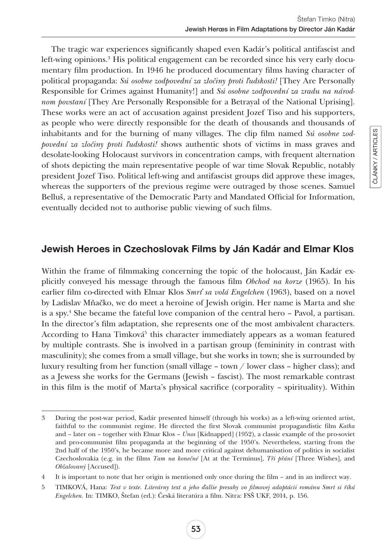ČLÁNKY / ARTICLES

ČLÁNKY / ARTICLES

The tragic war experiences significantly shaped even Kadár's political antifascist and left-wing opinions.<sup>3</sup> His political engagement can be recorded since his very early documentary film production. In 1946 he produced documentary films having character of political propaganda: *Sú osobne zodpovední za zločiny proti ľudskosti!* [They Are Personally Responsible for Crimes against Humanity!] and *Sú osobne zodpovední za zradu na národnom povstaní* [They Are Personally Responsible for a Betrayal of the National Uprising]. These works were an act of accusation against president Jozef Tiso and his supporters, as people who were directly responsible for the death of thousands and thousands of inhabitants and for the burning of many villages. The clip film named *Sú osobne zodpovední za zločiny proti ľudskosti!* shows authentic shots of victims in mass graves and desolate-looking Holocaust survivors in concentration camps, with frequent alternation of shots depicting the main representative people of war time Slovak Republic, notably president Jozef Tiso. Political left-wing and antifascist groups did approve these images, whereas the supporters of the previous regime were outraged by those scenes. Samuel Belluš, a representative of the Democratic Party and Mandated Official for Information, eventually decided not to authorise public viewing of such films.

# Jewish Heroes in Czechoslovak Films by Ján Kadár and Elmar Klos

Within the frame of filmmaking concerning the topic of the holocaust, Ján Kadár explicitly conveyed his message through the famous film *Obchod na korze* (1965). In his earlier film co-directed with Elmar Klos *Smrť sa volá Engelchen* (1963), based on a novel by Ladislav Mňačko, we do meet a heroine of Jewish origin. Her name is Marta and she is a spy.4 She became the fateful love companion of the central hero – Pavol, a partisan. In the director's film adaptation, she represents one of the most ambivalent characters. According to Hana Timková<sup>5</sup> this character immediately appears as a woman featured by multiple contrasts. She is involved in a partisan group (femininity in contrast with masculinity); she comes from a small village, but she works in town; she is surrounded by luxury resulting from her function (small village – town / lower class – higher class); and as a Jewess she works for the Germans (Jewish – fascist). The most remarkable contrast in this film is the motif of Marta's physical sacrifice (corporality – spirituality). Within

<sup>3</sup> During the post-war period, Kadár presented himself (through his works) as a left-wing oriented artist, faithful to the communist regime. He directed the first Slovak communist propagandistic film *Katka* and – later on – together with Elmar Klos – *Únos* [Kidnapped] (1952), a classic example of the pro-soviet and pro-communist film propaganda at the beginning of the 1950's. Nevertheless, starting from the 2nd half of the 1950's, he became more and more critical against dehumanisation of politics in socialist Czechoslovakia (e.g. in the films *Tam na konečné* [At at the Terminus], *Tři přání* [Three Wishes], and *Obžalovaný* [Accused]).

<sup>4</sup> It is important to note that her origin is mentioned only once during the film – and in an indirect way.

<sup>5</sup> TIMKOVÁ, Hana: *Text v texte. Literárny text a jeho ďalšie presahy vo filmovej adaptácii románu Smrt si říká Engelchen.* In: TIMKO, Štefan (ed.): Česká literatúra a film. Nitra: FSŠ UKF, 2014, p. 156.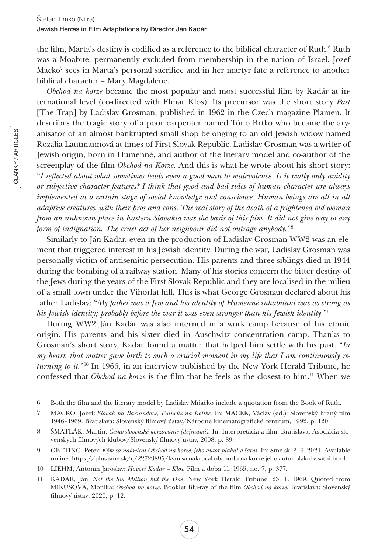the film, Marta's destiny is codified as a reference to the biblical character of  $\rm{Ruth}^6$   $\rm{Ruth}$ was a Moabite, permanently excluded from membership in the nation of Israel. Jozef Macko7 sees in Marta's personal sacrifice and in her martyr fate a reference to another biblical character – Mary Magdalene.

*Obchod na korze* became the most popular and most successful film by Kadár at international level (co-directed with Elmar Klos). Its precursor was the short story *Past* [The Trap] by Ladislav Grosman, published in 1962 in the Czech magazine Plamen. It describes the tragic story of a poor carpenter named Tóno Brtko who became the aryanisator of an almost bankrupted small shop belonging to an old Jewish widow named Rozália Lautmannová at times of First Slovak Republic. Ladislav Grosman was a writer of Jewish origin, born in Humenné, and author of the literary model and co-author of the screenplay of the film *Obchod na Korze*. And this is what he wrote about his short story: "*I reflected about what sometimes leads even a good man to malevolence. Is it really only avidity or subjective character features? I think that good and bad sides of human character are always implemented at a certain stage of social knowledge and conscience. Human beings are all in all adaptive creatures, with their pros and cons. The real story of the death of a frightened old woman from an unknown place in Eastern Slovakia was the basis of this film. It did not give way to any form of indignation. The cruel act of her neighbour did not outrage anybody.*"8

Similarly to Ján Kadár, even in the production of Ladislav Grosman WW2 was an element that triggered interest in his Jewish identity. During the war, Ladislav Grosman was personally victim of antisemitic persecution. His parents and three siblings died in 1944 during the bombing of a railway station. Many of his stories concern the bitter destiny of the Jews during the years of the First Slovak Republic and they are localised in the milieu of a small town under the Vihorlat hill. This is what George Grosman declared about his father Ladislav: "*My father was a Jew and his identity of Humenné inhabitant was as strong as his Jewish identity; probably before the war it was even stronger than his Jewish identity.*"9

During WW2 Ján Kadár was also interned in a work camp because of his ethnic origin. His parents and his sister died in Auschwitz concentration camp. Thanks to Grosman's short story, Kadár found a matter that helped him settle with his past. "*In my heart, that matter gave birth to such a crucial moment in my life that I am continuously returning to it.*"10 In 1966, in an interview published by the New York Herald Tribune, he confessed that *Obchod na korze* is the film that he feels as the closest to him.11 When we

<sup>6</sup> Both the film and the literary model by Ladislav Mňačko include a quotation from the Book of Ruth.

<sup>7</sup> MACKO, Jozef: *Slovák na Barrandove, Francúz na Kolibe.* In: MACEK, Václav (ed.): Slovenský hraný film 1946–1969. Bratislava: Slovenský filmový ústav/Národné kinematografické centrum, 1992, p. 120.

<sup>8</sup> ŠMATLÁK, Martin: *Česko-slovenské korzovanie (dejinami).* In: Interpretácia a film. Bratislava: Asociácia slovenských filmových klubov/Slovenský filmový ústav, 2008, p. 89.

<sup>9</sup> GETTING, Peter: *Kým sa nakrúcal Obchod na korze, jeho autor plakal v šatni.* In: [Sme.sk,](http://Sme.sk) 3. 9. 2021. Available online: [https://plus.sme.sk/c/22729895/kym-sa-nakrucal-obchodu-na-korze-jeho-autor-plakal-v-satni.html.](https://plus.sme.sk/c/22729895/kym-sa-nakrucal-obchodu-na-korze-jeho-autor-plakal-v-satni.html)

<sup>10</sup> LIEHM, Antonín Jaroslav: *Hovoří Kadár – Klos.* Film a doba 11, 1965, no. 7, p. 377.

<sup>11</sup> KADÁR, Ján: *Not the Six Million but the One*. New York Herald Tribune, 23. 1. 1969. Quoted from MIKUŠOVÁ, Monika: *Obchod na korze*. Booklet Blu-ray of the film *Obchod na korze.* Bratislava: Slovenský filmový ústav, 2020, p. 12.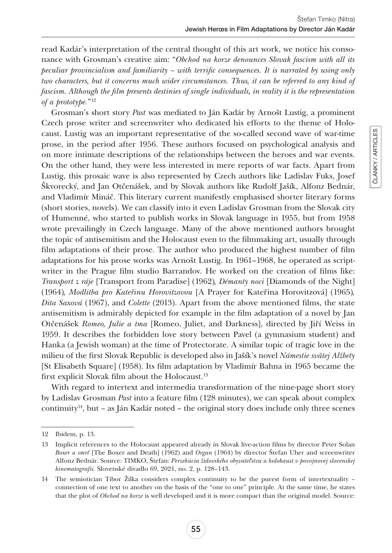read Kadár's interpretation of the central thought of this art work, we notice his consonance with Grosman's creative aim: "*Obchod na korze denounces Slovak fascism with all its peculiar provincialism and familiarity – with terrific consequences. It is narrated by using only two characters, but it concerns much wider circumstances. Thus, it can be referred to any kind of fascism. Although the film presents destinies of single individuals, in reality it is the representation of a prototype.*"12

Grosman's short story *Past* was mediated to Ján Kadár by Arnošt Lustig, a prominent Czech prose writer and screenwriter who dedicated his efforts to the theme of Holocaust. Lustig was an important representative of the so-called second wave of war-time prose, in the period after 1956. These authors focused on psychological analysis and on more intimate descriptions of the relationships between the heroes and war events. On the other hand, they were less interested in mere reports of war facts. Apart from Lustig, this prosaic wave is also represented by Czech authors like Ladislav Fuks, Josef Škvorecký, and Jan Otčenášek, and by Slovak authors like Rudolf Jašík, Alfonz Bednár, and Vladimír Mináč. This literary current manifestly emphasised shorter literary forms (short stories, novels). We can classify into it even Ladislav Grosman from the Slovak city of Humenné, who started to publish works in Slovak language in 1955, but from 1958 wrote prevailingly in Czech language. Many of the above mentioned authors brought the topic of antisemitism and the Holocaust even to the filmmaking art, usually through film adaptations of their prose. The author who produced the highest number of film adaptations for his prose works was Arnošt Lustig. In 1961–1968, he operated as scriptwriter in the Prague film studio Barrandov. He worked on the creation of films like: *Transport z ráje* [Transport from Paradise] (1962)*, Démanty noci* [Diamonds of the Night] (1964)*, Modlitba pro Kateřinu Horovitzovou* [A Prayer for Kateřina Horovitzová] (1965)*, Dita Saxová* (1967), and *Colette* (2013). Apart from the above mentioned films, the state antisemitism is admirably depicted for example in the film adaptation of a novel by Jan Otčenášek *Romeo, Julie a tma* [Romeo, Juliet, and Darkness], directed by Jiří Weiss in 1959. It describes the forbidden love story between Pavel (a gymnasium student) and Hanka (a Jewish woman) at the time of Protectorate. A similar topic of tragic love in the milieu of the first Slovak Republic is developed also in Jašík's novel *Námestie svätej Alžbety* [St Elisabeth Square] (1958). Its film adaptation by Vladimír Bahna in 1965 became the first explicit Slovak film about the Holocaust.<sup>13</sup>

With regard to intertext and intermedia transformation of the nine-page short story by Ladislav Grosman *Past* into a feature film (128 minutes), we can speak about complex continuity<sup>14</sup>, but – as Ján Kadár noted – the original story does include only three scenes

<sup>12</sup> Ibidem, p. 13.

<sup>13</sup> Implicit references to the Holocaust appeared already in Slovak live-action films by director Peter Solan *Boxer a smrť* [The Boxer and Death] (1962) and *Organ* (1964) by director Štefan Uher and screenwriter Alfonz Bednár. Source: TIMKO, Štefan: *Perzekúcia židovského obyvateľstva a holokaust v povojnovej slovenskej kinematografii.* Slovenské divadlo 69, 2021, no. 2, p. 128–143.

<sup>14</sup> The semiotician Tibor Žilka considers complex continuity to be the purest form of intertextuality – connection of one text to another on the basis of the "one to one" principle. At the same time, he states that the plot of *Obchod na korze* is well developed and it is more compact than the original model. Source: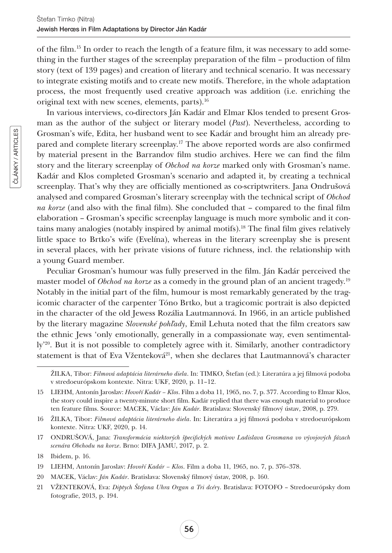of the film.15 In order to reach the length of a feature film, it was necessary to add something in the further stages of the screenplay preparation of the film – production of film story (text of 139 pages) and creation of literary and technical scenario. It was necessary to integrate existing motifs and to create new motifs. Therefore, in the whole adaptation process, the most frequently used creative approach was addition (i.e. enriching the original text with new scenes, elements, parts).<sup>16</sup>

In various interviews, co-directors Ján Kadár and Elmar Klos tended to present Grosman as the author of the subject or literary model (*Past*). Nevertheless, according to Grosman's wife, Edita, her husband went to see Kadár and brought him an already prepared and complete literary screenplay.17 The above reported words are also confirmed by material present in the Barrandov film studio archives. Here we can find the film story and the literary screenplay of *Obchod na korze* marked only with Grosman's name. Kadár and Klos completed Grosman's scenario and adapted it, by creating a technical screenplay. That's why they are officially mentioned as co-scriptwriters. Jana Ondrušová analysed and compared Grosman's literary screenplay with the technical script of *Obchod na korze* (and also with the final film). She concluded that – compared to the final film elaboration – Grosman's specific screenplay language is much more symbolic and it contains many analogies (notably inspired by animal motifs).18 The final film gives relatively little space to Brtko's wife (Evelína), whereas in the literary screenplay she is present in several places, with her private visions of future richness, incl. the relationship with a young Guard member.

Peculiar Grosman's humour was fully preserved in the film. Ján Kadár perceived the master model of *Obchod na korze* as a comedy in the ground plan of an ancient tragedy.19 Notably in the initial part of the film, humour is most remarkably generated by the tragicomic character of the carpenter Tóno Brtko, but a tragicomic portrait is also depicted in the character of the old Jewess Rozália Lautmannová. In 1966, in an article published by the literary magazine *Slovenské pohľady*, Emil Lehuta noted that the film creators saw the ethnic Jews 'only emotionally, generally in a compassionate way, even sentimentally'<sup>20</sup>. But it is not possible to completely agree with it. Similarly, another contradictory statement is that of Eva Vženteková<sup>21</sup>, when she declares that Lautmannová's character

ŽILKA, Tibor: *Filmová adaptácia literárneho diela*. In: TIMKO, Štefan (ed.): Literatúra a jej filmová podoba v stredoeurópskom kontexte. Nitra: UKF, 2020, p. 11–12.

<sup>15</sup> LIEHM, Antonín Jaroslav: *Hovoří Kadár – Klos*. Film a doba 11, 1965, no. 7, p. 377. According to Elmar Klos, the story could inspire a twenty-minute short film. Kadár replied that there was enough material to produce ten feature films. Source: MACEK, Václav: *Ján Kadár*. Bratislava: Slovenský filmový ústav, 2008, p. 279.

<sup>16</sup> ŽILKA, Tibor: *Filmová adaptácia literárneho diela*. In: Literatúra a jej filmová podoba v stredoeurópskom kontexte. Nitra: UKF, 2020, p. 14.

<sup>17</sup> ONDRUŠOVÁ, Jana: *Transformácia niektorých špecifických motívov Ladislava Grosmana vo vývojových fázach scenára Obchodu na korze*. Brno: DIFA JAMU, 2017, p. 2.

<sup>18</sup> Ibidem, p. 16.

<sup>19</sup> LIEHM, Antonín Jaroslav: *Hovoří Kadár – Klos*. Film a doba 11, 1965, no. 7, p. 376–378.

<sup>20</sup> MACEK, Václav: *Ján Kadár*. Bratislava: Slovenský filmový ústav, 2008, p. 160.

<sup>21</sup> VŽENTEKOVÁ, Eva: *Diptych Štefana Uhra Organ a Tri dcéry*. Bratislava: FOTOFO – Stredoeurópsky dom fotografie, 2013, p. 194.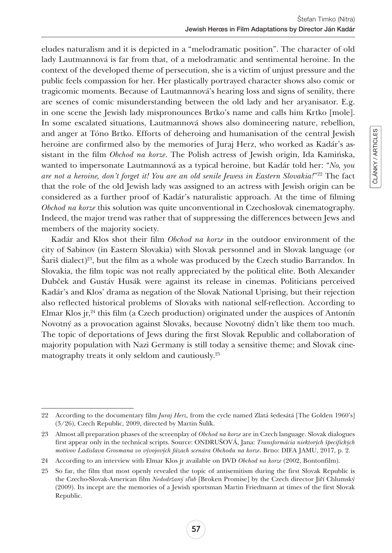eludes naturalism and it is depicted in a "melodramatic position". The character of old lady Lautmannová is far from that, of a melodramatic and sentimental heroine. In the context of the developed theme of persecution, she is a victim of unjust pressure and the public feels compassion for her. Her plastically portrayed character shows also comic or tragicomic moments. Because of Lautmannová's hearing loss and signs of senility, there are scenes of comic misunderstanding between the old lady and her aryanisator. E.g. in one scene the Jewish lady mispronounces Brtko's name and calls him Krtko [mole]. In some escalated situations, Lautmannová shows also domineering nature, rebellion, and anger at Tóno Brtko. Efforts of deheroing and humanisation of the central Jewish heroine are confirmed also by the memories of Juraj Herz, who worked as Kadár's assistant in the film *Obchod na korze*. The Polish actress of Jewish origin, Ida Kamińska, wanted to impersonate Lautmannová as a typical heroine, but Kadár told her: "*No, you are not a heroine, don't forget it! You are an old senile Jewess in Eastern Slovakia!*"22 The fact that the role of the old Jewish lady was assigned to an actress with Jewish origin can be considered as a further proof of Kadár's naturalistic approach. At the time of filming *Obchod na korze* this solution was quite unconventional in Czechoslovak cinematography. Indeed, the major trend was rather that of suppressing the differences between Jews and members of the majority society.

Kadár and Klos shot their film *Obchod na korze* in the outdoor environment of the city of Sabinov (in Eastern Slovakia) with Slovak personnel and in Slovak language (or Šariš dialect)23, but the film as a whole was produced by the Czech studio Barrandov. In Slovakia, the film topic was not really appreciated by the political elite. Both Alexander Dubček and Gustáv Husák were against its release in cinemas. Politicians perceived Kadár's and Klos' drama as negation of the Slovak National Uprising, but their rejection also reflected historical problems of Slovaks with national self-reflection. According to Elmar Klos jr, $^{24}$  this film (a Czech production) originated under the auspices of Antonín Novotný as a provocation against Slovaks, because Novotný didn't like them too much. The topic of deportations of Jews during the first Slovak Republic and collaboration of majority population with Nazi Germany is still today a sensitive theme; and Slovak cinematography treats it only seldom and cautiously.25

<sup>22</sup> According to the documentary film *Juraj Herz*, from the cycle named Zlatá šedesátá [The Golden 1960's] (3/26), Czech Republic, 2009, directed by Martin Šulík.

<sup>23</sup> Almost all preparation phases of the screenplay of *Obchod na korze* are in Czech language. Slovak dialogues first appear only in the technical scripts. Source: ONDRUŠOVÁ, Jana: *Transformácia niektorých špecifických motívov Ladislava Grosmana vo vývojových fázach scenára Obchodu na korze*. Brno: DIFA JAMU, 2017, p. 2.

<sup>24</sup> According to an interview with Elmar Klos jr available on DVD *Obchod na korze* (2002, Bontonfilm).

<sup>25</sup> So far, the film that most openly revealed the topic of antisemitism during the first Slovak Republic is the Czecho-Slovak-American film *Nedodržaný sľub* [Broken Promise] by the Czech director Jiří Chlumský (2009). Its incept are the memories of a Jewish sportsman Martin Friedmann at times of the first Slovak Republic.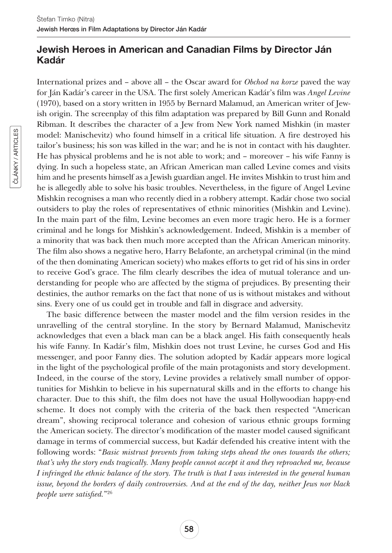# Jewish Heroes in American and Canadian Films by Director Ján Kadár

International prizes and – above all – the Oscar award for *Obchod na korze* paved the way for Ján Kadár's career in the USA. The first solely American Kadár's film was *Angel Levine* (1970), based on a story written in 1955 by Bernard Malamud, an American writer of Jewish origin. The screenplay of this film adaptation was prepared by Bill Gunn and Ronald Ribman. It describes the character of a Jew from New York named Mishkin (in master model: Manischevitz) who found himself in a critical life situation. A fire destroyed his tailor's business; his son was killed in the war; and he is not in contact with his daughter. He has physical problems and he is not able to work; and – moreover – his wife Fanny is dying. In such a hopeless state, an African American man called Levine comes and visits him and he presents himself as a Jewish guardian angel. He invites Mishkin to trust him and he is allegedly able to solve his basic troubles. Nevertheless, in the figure of Angel Levine Mishkin recognises a man who recently died in a robbery attempt. Kadár chose two social outsiders to play the roles of representatives of ethnic minorities (Mishkin and Levine). In the main part of the film, Levine becomes an even more tragic hero. He is a former criminal and he longs for Mishkin's acknowledgement. Indeed, Mishkin is a member of a minority that was back then much more accepted than the African American minority. The film also shows a negative hero, Harry Belafonte, an archetypal criminal (in the mind of the then dominating American society) who makes efforts to get rid of his sins in order to receive God's grace. The film clearly describes the idea of mutual tolerance and understanding for people who are affected by the stigma of prejudices. By presenting their destinies, the author remarks on the fact that none of us is without mistakes and without sins. Every one of us could get in trouble and fall in disgrace and adversity.

The basic difference between the master model and the film version resides in the unravelling of the central storyline. In the story by Bernard Malamud, Manischevitz acknowledges that even a black man can be a black angel. His faith consequently heals his wife Fanny. In Kadár's film, Mishkin does not trust Levine, he curses God and His messenger, and poor Fanny dies. The solution adopted by Kadár appears more logical in the light of the psychological profile of the main protagonists and story development. Indeed, in the course of the story, Levine provides a relatively small number of opportunities for Mishkin to believe in his supernatural skills and in the efforts to change his character. Due to this shift, the film does not have the usual Hollywoodian happy-end scheme. It does not comply with the criteria of the back then respected "American dream", showing reciprocal tolerance and cohesion of various ethnic groups forming the American society. The director's modification of the master model caused significant damage in terms of commercial success, but Kadár defended his creative intent with the following words: "*Basic mistrust prevents from taking steps ahead the ones towards the others; that's why the story ends tragically. Many people cannot accept it and they reproached me, because I infringed the ethnic balance of the story. The truth is that I was interested in the general human issue, beyond the borders of daily controversies. And at the end of the day, neither Jews nor black people were satisfied.*"26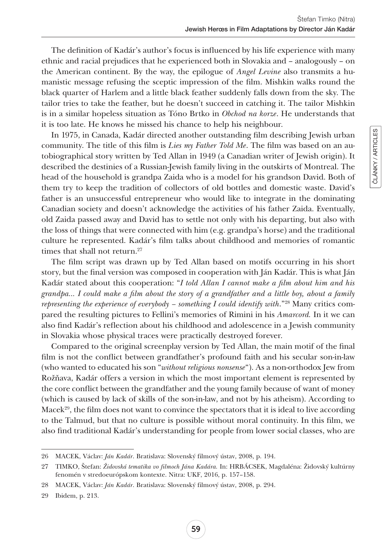The definition of Kadár's author's focus is influenced by his life experience with many ethnic and racial prejudices that he experienced both in Slovakia and – analogously – on the American continent. By the way, the epilogue of *Angel Levine* also transmits a humanistic message refusing the sceptic impression of the film. Mishkin walks round the black quarter of Harlem and a little black feather suddenly falls down from the sky. The tailor tries to take the feather, but he doesn't succeed in catching it. The tailor Mishkin is in a similar hopeless situation as Tóno Brtko in *Obchod na korze*. He understands that it is too late. He knows he missed his chance to help his neighbour.

In 1975, in Canada, Kadár directed another outstanding film describing Jewish urban community. The title of this film is *Lies my Father Told Me*. The film was based on an autobiographical story written by Ted Allan in 1949 (a Canadian writer of Jewish origin). It described the destinies of a Russian-Jewish family living in the outskirts of Montreal. The head of the household is grandpa Zaida who is a model for his grandson David. Both of them try to keep the tradition of collectors of old bottles and domestic waste. David's father is an unsuccessful entrepreneur who would like to integrate in the dominating Canadian society and doesn't acknowledge the activities of his father Zaida. Eventually, old Zaida passed away and David has to settle not only with his departing, but also with the loss of things that were connected with him (e.g. grandpa's horse) and the traditional culture he represented. Kadár's film talks about childhood and memories of romantic times that shall not return.<sup>27</sup>

The film script was drawn up by Ted Allan based on motifs occurring in his short story, but the final version was composed in cooperation with Ján Kadár. This is what Ján Kadár stated about this cooperation: "*I told Allan I cannot make a film about him and his grandpa... I could make a film about the story of a grandfather and a little boy, about a family representing the experience of everybody – something I could identify with*."28 Many critics compared the resulting pictures to Fellini's memories of Rimini in his *Amarcord.* In it we can also find Kadár's reflection about his childhood and adolescence in a Jewish community in Slovakia whose physical traces were practically destroyed forever.

Compared to the original screenplay version by Ted Allan, the main motif of the final film is not the conflict between grandfather's profound faith and his secular son-in-law (who wanted to educated his son "*without religious nonsense*"). As a non-orthodox Jew from Rožňava, Kadár offers a version in which the most important element is represented by the core conflict between the grandfather and the young family because of want of money (which is caused by lack of skills of the son-in-law, and not by his atheism). According to Macek<sup>29</sup>, the film does not want to convince the spectators that it is ideal to live according to the Talmud, but that no culture is possible without moral continuity. In this film, we also find traditional Kadár's understanding for people from lower social classes, who are

<sup>26</sup> MACEK, Václav: *Ján Kadár*. Bratislava: Slovenský filmový ústav, 2008, p. 194.

<sup>27</sup> TIMKO, Štefan: *Židovská tematika vo filmoch Jána Kadára.* In: HRBÁCSEK, Magdaléna: Židovský kultúrny fenomén v stredoeurópskom kontexte. Nitra: UKF, 2016, p. 157–158.

<sup>28</sup> MACEK, Václav: *Ján Kadár*. Bratislava: Slovenský filmový ústav, 2008, p. 294.

<sup>29</sup> Ibidem, p. 213.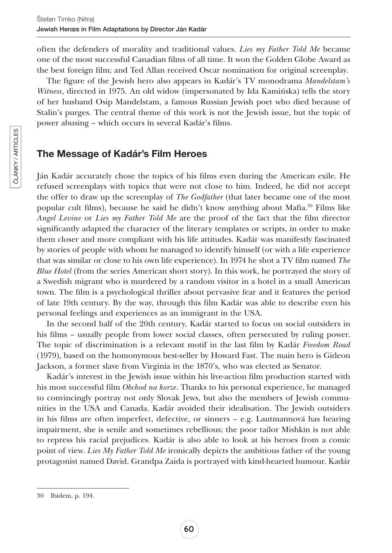often the defenders of morality and traditional values. *Lies my Father Told Me* became one of the most successful Canadian films of all time. It won the Golden Globe Award as the best foreign film; and Ted Allan received Oscar nomination for original screenplay.

The figure of the Jewish hero also appears in Kadár's TV monodrama *Mandelstam's Witness*, directed in 1975. An old widow (impersonated by Ida Kamińska) tells the story of her husband Osip Mandelstam, a famous Russian Jewish poet who died because of Stalin's purges. The central theme of this work is not the Jewish issue, but the topic of power abusing – which occurs in several Kadár's films.

# The Message of Kadár's Film Heroes

Ján Kadár accurately chose the topics of his films even during the American exile. He refused screenplays with topics that were not close to him. Indeed, he did not accept the offer to draw up the screenplay of *The Godfather* (that later became one of the most popular cult films), because he said he didn't know anything about Mafia.30 Films like *Angel Levine* or *Lies my Father Told Me* are the proof of the fact that the film director significantly adapted the character of the literary templates or scripts, in order to make them closer and more compliant with his life attitudes. Kadár was manifestly fascinated by stories of people with whom he managed to identify himself (or with a life experience that was similar or close to his own life experience). In 1974 he shot a TV film named *The Blue Hotel* (from the series American short story). In this work, he portrayed the story of a Swedish migrant who is murdered by a random visitor in a hotel in a small American town. The film is a psychological thriller about pervasive fear and it features the period of late 19th century. By the way, through this film Kadár was able to describe even his personal feelings and experiences as an immigrant in the USA.

In the second half of the 20th century, Kadár started to focus on social outsiders in his films – usually people from lower social classes, often persecuted by ruling power. The topic of discrimination is a relevant motif in the last film by Kadár *Freedom Road*  (1979), based on the homonymous best-seller by Howard Fast. The main hero is Gideon Jackson, a former slave from Virginia in the 1870's, who was elected as Senator.

Kadár's interest in the Jewish issue within his live-action film production started with his most successful film *Obchod na korze*. Thanks to his personal experience, he managed to convincingly portray not only Slovak Jews, but also the members of Jewish communities in the USA and Canada. Kadár avoided their idealisation. The Jewish outsiders in his films are often imperfect, defective, or sinners – e.g. Lautmannová has hearing impairment, she is senile and sometimes rebellious; the poor tailor Mishkin is not able to repress his racial prejudices. Kadár is also able to look at his heroes from a comic point of view. *Lies My Father Told Me* ironically depicts the ambitious father of the young protagonist named David. Grandpa Zaida is portrayed with kind-hearted humour. Kadár

<sup>30</sup> Ibidem, p. 194.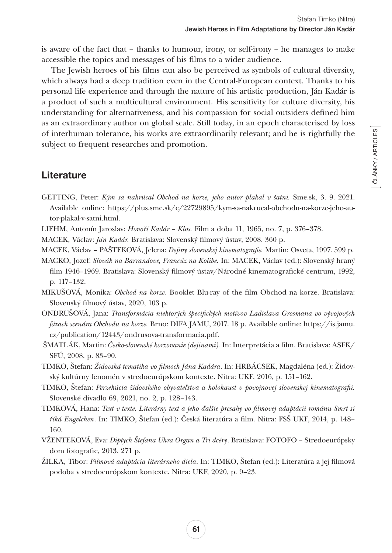is aware of the fact that – thanks to humour, irony, or self-irony – he manages to make accessible the topics and messages of his films to a wider audience.

The Jewish heroes of his films can also be perceived as symbols of cultural diversity, which always had a deep tradition even in the Central-European context. Thanks to his personal life experience and through the nature of his artistic production, Ján Kadár is a product of such a multicultural environment. His sensitivity for culture diversity, his understanding for alternativeness, and his compassion for social outsiders defined him as an extraordinary author on global scale. Still today, in an epoch characterised by loss of interhuman tolerance, his works are extraordinarily relevant; and he is rightfully the subject to frequent researches and promotion.

# **Literature**

- GETTING, Peter: *Kým sa nakrúcal Obchod na korze, jeho autor plakal v šatni.* [Sme.sk](http://Sme.sk), 3. 9. 2021. Available online: [https://plus.sme.sk/c/22729895/kym-sa-nakrucal-obchodu-na-korze-jeho-au](https://plus.sme.sk/c/22729895/kym-sa-nakrucal-ob﻿chodu-na-korze-jeho-autor-plakal-v-satni.html)[tor-plakal-v-satni.html.](https://plus.sme.sk/c/22729895/kym-sa-nakrucal-ob﻿chodu-na-korze-jeho-autor-plakal-v-satni.html)
- LIEHM, Antonín Jaroslav: *Hovoří Kadár Klos.* Film a doba 11, 1965, no. 7, p. 376–378.
- MACEK, Václav: *Ján Kadár.* Bratislava: Slovenský filmový ústav, 2008. 360 p.
- MACEK, Václav PAŠTEKOVÁ, Jelena: *Dejiny slovenskej kinematografie.* Martin: Osveta, 1997. 599 p.
- MACKO, Jozef: *Slovák na Barrandove, Francúz na Kolibe.* In: MACEK, Václav (ed.): Slovenský hraný film 1946–1969. Bratislava: Slovenský filmový ústav/Národné kinematografické centrum, 1992, p. 117–132.
- MIKUŠOVÁ, Monika: *Obchod na korze*. Booklet Blu-ray of the film Obchod na korze. Bratislava: Slovenský filmový ústav, 2020, 103 p.
- ONDRUŠOVÁ, Jana: *Transformácia niektorých špecifických motívov Ladislava Grosmana vo vývojových fázach scenára Obchodu na korze.* Brno: DIFA JAMU, 2017. 18 p. Available online: [https://is.jamu.](https://is.jamu.cz/publication/12443/ondrusov﻿a-transformacia.pdf) [cz/publication/12443/ondrusova-transformacia.pdf](https://is.jamu.cz/publication/12443/ondrusov﻿a-transformacia.pdf).
- ŠMATLÁK, Martin: *Česko-slovenské korzovanie (dejinami).* In: Interpretácia a film. Bratislava: ASFK/ SFÚ, 2008, p. 83–90.
- TIMKO, Štefan: *Židovská tematika vo filmoch Jána Kadára*. In: HRBÁCSEK, Magdaléna (ed.): Židovský kultúrny fenomén v stredoeurópskom kontexte. Nitra: UKF, 2016, p. 151–162.
- TIMKO, Štefan: *Perzekúcia židovského obyvateľstva a holokaust v povojnovej slovenskej kinematografii.* Slovenské divadlo 69, 2021, no. 2, p. 128–143.
- TIMKOVÁ, Hana: *Text v texte. Literárny text a jeho ďalšie presahy vo filmovej adaptácii románu Smrt si říká Engelchen*. In: TIMKO, Štefan (ed.): Česká literatúra a film. Nitra: FSŠ UKF, 2014, p. 148– 160.
- VŽENTEKOVÁ, Eva: *Diptych Štefana Uhra Organ a Tri dcéry*. Bratislava: FOTOFO Stredoeurópsky dom fotografie, 2013. 271 p.
- ŽILKA, Tibor: *Filmová adaptácia literárneho diela*. In: TIMKO, Štefan (ed.): Literatúra a jej filmová podoba v stredoeurópskom kontexte. Nitra: UKF, 2020, p. 9–23.

ČLÁNKY / ARTICLES

ČLÁNKY / ARTICLES